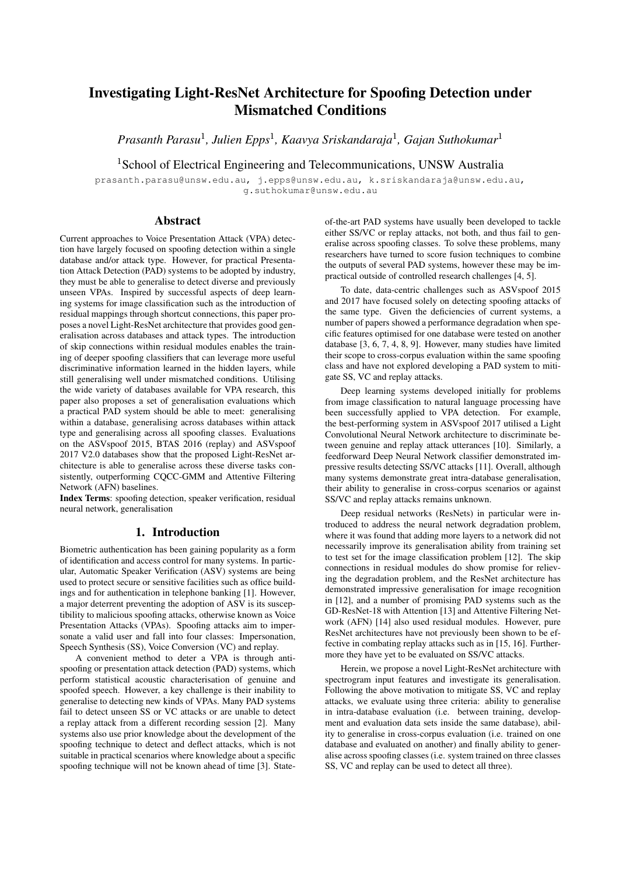# Investigating Light-ResNet Architecture for Spoofing Detection under Mismatched Conditions

*Prasanth Parasu*<sup>1</sup> *, Julien Epps*<sup>1</sup> *, Kaavya Sriskandaraja*<sup>1</sup> *, Gajan Suthokumar*<sup>1</sup>

<sup>1</sup>School of Electrical Engineering and Telecommunications, UNSW Australia

prasanth.parasu@unsw.edu.au, j.epps@unsw.edu.au, k.sriskandaraja@unsw.edu.au, g.suthokumar@unsw.edu.au

# Abstract

Current approaches to Voice Presentation Attack (VPA) detection have largely focused on spoofing detection within a single database and/or attack type. However, for practical Presentation Attack Detection (PAD) systems to be adopted by industry, they must be able to generalise to detect diverse and previously unseen VPAs. Inspired by successful aspects of deep learning systems for image classification such as the introduction of residual mappings through shortcut connections, this paper proposes a novel Light-ResNet architecture that provides good generalisation across databases and attack types. The introduction of skip connections within residual modules enables the training of deeper spoofing classifiers that can leverage more useful discriminative information learned in the hidden layers, while still generalising well under mismatched conditions. Utilising the wide variety of databases available for VPA research, this paper also proposes a set of generalisation evaluations which a practical PAD system should be able to meet: generalising within a database, generalising across databases within attack type and generalising across all spoofing classes. Evaluations on the ASVspoof 2015, BTAS 2016 (replay) and ASVspoof 2017 V2.0 databases show that the proposed Light-ResNet architecture is able to generalise across these diverse tasks consistently, outperforming CQCC-GMM and Attentive Filtering Network (AFN) baselines.

Index Terms: spoofing detection, speaker verification, residual neural network, generalisation

## 1. Introduction

Biometric authentication has been gaining popularity as a form of identification and access control for many systems. In particular, Automatic Speaker Verification (ASV) systems are being used to protect secure or sensitive facilities such as office buildings and for authentication in telephone banking [1]. However, a major deterrent preventing the adoption of ASV is its susceptibility to malicious spoofing attacks, otherwise known as Voice Presentation Attacks (VPAs). Spoofing attacks aim to impersonate a valid user and fall into four classes: Impersonation, Speech Synthesis (SS), Voice Conversion (VC) and replay.

A convenient method to deter a VPA is through antispoofing or presentation attack detection (PAD) systems, which perform statistical acoustic characterisation of genuine and spoofed speech. However, a key challenge is their inability to generalise to detecting new kinds of VPAs. Many PAD systems fail to detect unseen SS or VC attacks or are unable to detect a replay attack from a different recording session [2]. Many systems also use prior knowledge about the development of the spoofing technique to detect and deflect attacks, which is not suitable in practical scenarios where knowledge about a specific spoofing technique will not be known ahead of time [3]. State-

of-the-art PAD systems have usually been developed to tackle either SS/VC or replay attacks, not both, and thus fail to generalise across spoofing classes. To solve these problems, many researchers have turned to score fusion techniques to combine the outputs of several PAD systems, however these may be impractical outside of controlled research challenges [4, 5].

To date, data-centric challenges such as ASVspoof 2015 and 2017 have focused solely on detecting spoofing attacks of the same type. Given the deficiencies of current systems, a number of papers showed a performance degradation when specific features optimised for one database were tested on another database [3, 6, 7, 4, 8, 9]. However, many studies have limited their scope to cross-corpus evaluation within the same spoofing class and have not explored developing a PAD system to mitigate SS, VC and replay attacks.

Deep learning systems developed initially for problems from image classification to natural language processing have been successfully applied to VPA detection. For example, the best-performing system in ASVspoof 2017 utilised a Light Convolutional Neural Network architecture to discriminate between genuine and replay attack utterances [10]. Similarly, a feedforward Deep Neural Network classifier demonstrated impressive results detecting SS/VC attacks [11]. Overall, although many systems demonstrate great intra-database generalisation, their ability to generalise in cross-corpus scenarios or against SS/VC and replay attacks remains unknown.

Deep residual networks (ResNets) in particular were introduced to address the neural network degradation problem, where it was found that adding more layers to a network did not necessarily improve its generalisation ability from training set to test set for the image classification problem [12]. The skip connections in residual modules do show promise for relieving the degradation problem, and the ResNet architecture has demonstrated impressive generalisation for image recognition in [12], and a number of promising PAD systems such as the GD-ResNet-18 with Attention [13] and Attentive Filtering Network (AFN) [14] also used residual modules. However, pure ResNet architectures have not previously been shown to be effective in combating replay attacks such as in [15, 16]. Furthermore they have yet to be evaluated on SS/VC attacks.

Herein, we propose a novel Light-ResNet architecture with spectrogram input features and investigate its generalisation. Following the above motivation to mitigate SS, VC and replay attacks, we evaluate using three criteria: ability to generalise in intra-database evaluation (i.e. between training, development and evaluation data sets inside the same database), ability to generalise in cross-corpus evaluation (i.e. trained on one database and evaluated on another) and finally ability to generalise across spoofing classes (i.e. system trained on three classes SS, VC and replay can be used to detect all three).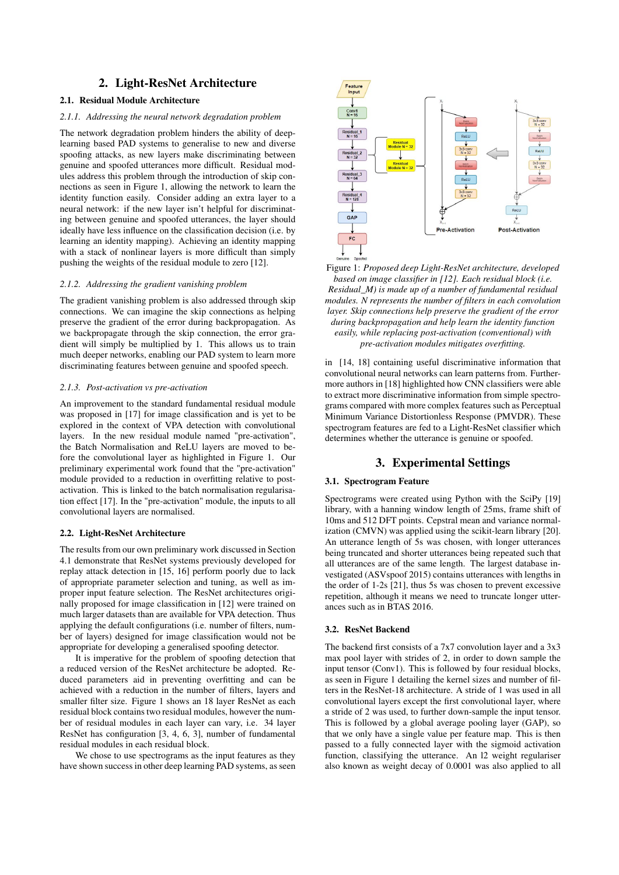# 2. Light-ResNet Architecture

## 2.1. Residual Module Architecture

#### *2.1.1. Addressing the neural network degradation problem*

The network degradation problem hinders the ability of deeplearning based PAD systems to generalise to new and diverse spoofing attacks, as new layers make discriminating between genuine and spoofed utterances more difficult. Residual modules address this problem through the introduction of skip connections as seen in Figure 1, allowing the network to learn the identity function easily. Consider adding an extra layer to a neural network: if the new layer isn't helpful for discriminating between genuine and spoofed utterances, the layer should ideally have less influence on the classification decision (i.e. by learning an identity mapping). Achieving an identity mapping with a stack of nonlinear layers is more difficult than simply pushing the weights of the residual module to zero [12].

#### *2.1.2. Addressing the gradient vanishing problem*

The gradient vanishing problem is also addressed through skip connections. We can imagine the skip connections as helping preserve the gradient of the error during backpropagation. As we backpropagate through the skip connection, the error gradient will simply be multiplied by 1. This allows us to train much deeper networks, enabling our PAD system to learn more discriminating features between genuine and spoofed speech.

#### *2.1.3. Post-activation vs pre-activation*

An improvement to the standard fundamental residual module was proposed in [17] for image classification and is yet to be explored in the context of VPA detection with convolutional layers. In the new residual module named "pre-activation", the Batch Normalisation and ReLU layers are moved to before the convolutional layer as highlighted in Figure 1. Our preliminary experimental work found that the "pre-activation" module provided to a reduction in overfitting relative to postactivation. This is linked to the batch normalisation regularisation effect [17]. In the "pre-activation" module, the inputs to all convolutional layers are normalised.

#### 2.2. Light-ResNet Architecture

The results from our own preliminary work discussed in Section 4.1 demonstrate that ResNet systems previously developed for replay attack detection in [15, 16] perform poorly due to lack of appropriate parameter selection and tuning, as well as improper input feature selection. The ResNet architectures originally proposed for image classification in [12] were trained on much larger datasets than are available for VPA detection. Thus applying the default configurations (i.e. number of filters, number of layers) designed for image classification would not be appropriate for developing a generalised spoofing detector.

It is imperative for the problem of spoofing detection that a reduced version of the ResNet architecture be adopted. Reduced parameters aid in preventing overfitting and can be achieved with a reduction in the number of filters, layers and smaller filter size. Figure 1 shows an 18 layer ResNet as each residual block contains two residual modules, however the number of residual modules in each layer can vary, i.e. 34 layer ResNet has configuration [3, 4, 6, 3], number of fundamental residual modules in each residual block.

We chose to use spectrograms as the input features as they have shown success in other deep learning PAD systems, as seen



Figure 1: *Proposed deep Light-ResNet architecture, developed based on image classifier in [12]. Each residual block (i.e. Residual\_M) is made up of a number of fundamental residual modules. N represents the number of filters in each convolution layer. Skip connections help preserve the gradient of the error during backpropagation and help learn the identity function easily, while replacing post-activation (conventional) with pre-activation modules mitigates overfitting.*

in [14, 18] containing useful discriminative information that convolutional neural networks can learn patterns from. Furthermore authors in [18] highlighted how CNN classifiers were able to extract more discriminative information from simple spectrograms compared with more complex features such as Perceptual Minimum Variance Distortionless Response (PMVDR). These spectrogram features are fed to a Light-ResNet classifier which determines whether the utterance is genuine or spoofed.

# 3. Experimental Settings

## 3.1. Spectrogram Feature

Spectrograms were created using Python with the SciPy [19] library, with a hanning window length of 25ms, frame shift of 10ms and 512 DFT points. Cepstral mean and variance normalization (CMVN) was applied using the scikit-learn library [20]. An utterance length of 5s was chosen, with longer utterances being truncated and shorter utterances being repeated such that all utterances are of the same length. The largest database investigated (ASVspoof 2015) contains utterances with lengths in the order of 1-2s [21], thus 5s was chosen to prevent excessive repetition, although it means we need to truncate longer utterances such as in BTAS 2016.

### 3.2. ResNet Backend

The backend first consists of a 7x7 convolution layer and a 3x3 max pool layer with strides of 2, in order to down sample the input tensor (Conv1). This is followed by four residual blocks, as seen in Figure 1 detailing the kernel sizes and number of filters in the ResNet-18 architecture. A stride of 1 was used in all convolutional layers except the first convolutional layer, where a stride of 2 was used, to further down-sample the input tensor. This is followed by a global average pooling layer (GAP), so that we only have a single value per feature map. This is then passed to a fully connected layer with the sigmoid activation function, classifying the utterance. An l2 weight regulariser also known as weight decay of 0.0001 was also applied to all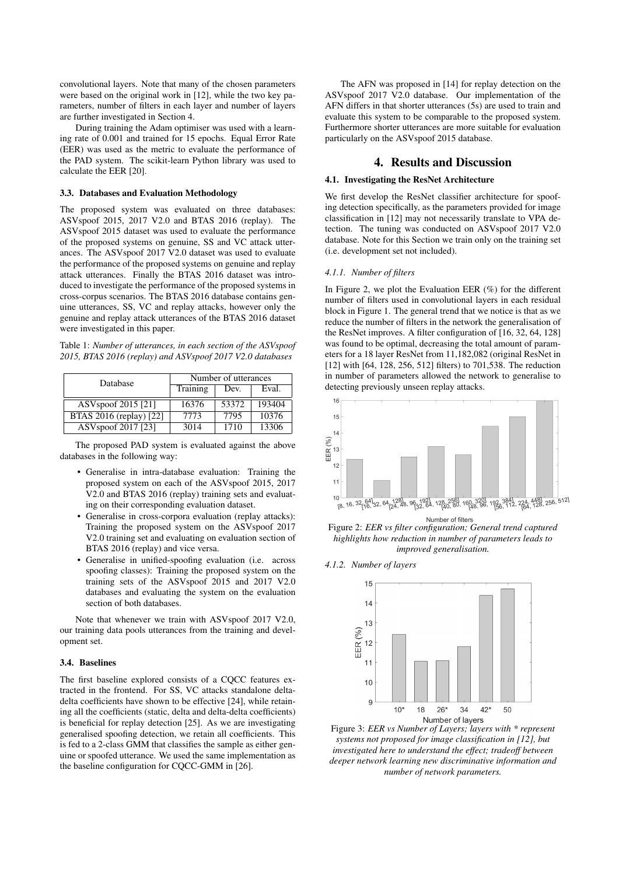convolutional layers. Note that many of the chosen parameters were based on the original work in [12], while the two key parameters, number of filters in each layer and number of layers are further investigated in Section 4.

During training the Adam optimiser was used with a learning rate of 0.001 and trained for 15 epochs. Equal Error Rate (EER) was used as the metric to evaluate the performance of the PAD system. The scikit-learn Python library was used to calculate the EER [20].

#### 3.3. Databases and Evaluation Methodology

The proposed system was evaluated on three databases: ASVspoof 2015, 2017 V2.0 and BTAS 2016 (replay). The ASVspoof 2015 dataset was used to evaluate the performance of the proposed systems on genuine, SS and VC attack utterances. The ASVspoof 2017 V2.0 dataset was used to evaluate the performance of the proposed systems on genuine and replay attack utterances. Finally the BTAS 2016 dataset was introduced to investigate the performance of the proposed systems in cross-corpus scenarios. The BTAS 2016 database contains genuine utterances, SS, VC and replay attacks, however only the genuine and replay attack utterances of the BTAS 2016 dataset were investigated in this paper.

Table 1: *Number of utterances, in each section of the ASVspoof 2015, BTAS 2016 (replay) and ASVspoof 2017 V2.0 databases*

| Database                       | Number of utterances |       |        |  |
|--------------------------------|----------------------|-------|--------|--|
|                                | Training             | Dev.  | Eval.  |  |
| ASV spoof 2015 [21]            | 16376                | 53372 | 193404 |  |
| <b>BTAS 2016 (replay)</b> [22] | 7773                 | 7795  | 10376  |  |
| ASV spoof 2017 [23]            | 3014                 | 1710  | 13306  |  |

The proposed PAD system is evaluated against the above databases in the following way:

- Generalise in intra-database evaluation: Training the proposed system on each of the ASVspoof 2015, 2017 V2.0 and BTAS 2016 (replay) training sets and evaluating on their corresponding evaluation dataset.
- Generalise in cross-corpora evaluation (replay attacks): Training the proposed system on the ASVspoof 2017 V2.0 training set and evaluating on evaluation section of BTAS 2016 (replay) and vice versa.
- Generalise in unified-spoofing evaluation (i.e. across spoofing classes): Training the proposed system on the training sets of the ASVspoof 2015 and 2017 V2.0 databases and evaluating the system on the evaluation section of both databases.

Note that whenever we train with ASVspoof 2017 V2.0, our training data pools utterances from the training and development set.

#### 3.4. Baselines

The first baseline explored consists of a CQCC features extracted in the frontend. For SS, VC attacks standalone deltadelta coefficients have shown to be effective [24], while retaining all the coefficients (static, delta and delta-delta coefficients) is beneficial for replay detection [25]. As we are investigating generalised spoofing detection, we retain all coefficients. This is fed to a 2-class GMM that classifies the sample as either genuine or spoofed utterance. We used the same implementation as the baseline configuration for CQCC-GMM in [26].

The AFN was proposed in [14] for replay detection on the ASVspoof 2017 V2.0 database. Our implementation of the AFN differs in that shorter utterances (5s) are used to train and evaluate this system to be comparable to the proposed system. Furthermore shorter utterances are more suitable for evaluation particularly on the ASVspoof 2015 database.

#### 4. Results and Discussion

#### 4.1. Investigating the ResNet Architecture

We first develop the ResNet classifier architecture for spoofing detection specifically, as the parameters provided for image classification in [12] may not necessarily translate to VPA detection. The tuning was conducted on ASVspoof 2017 V2.0 database. Note for this Section we train only on the training set (i.e. development set not included).

#### *4.1.1. Number of filters*

In Figure 2, we plot the Evaluation EER (%) for the different number of filters used in convolutional layers in each residual block in Figure 1. The general trend that we notice is that as we reduce the number of filters in the network the generalisation of the ResNet improves. A filter configuration of [16, 32, 64, 128] was found to be optimal, decreasing the total amount of parameters for a 18 layer ResNet from 11,182,082 (original ResNet in [12] with [64, 128, 256, 512] filters) to 701,538. The reduction in number of parameters allowed the network to generalise to detecting previously unseen replay attacks.



Figure 2: *EER vs filter configuration; General trend captured highlights how reduction in number of parameters leads to improved generalisation.*

*4.1.2. Number of layers*



*systems not proposed for image classification in [12], but investigated here to understand the effect; tradeoff between deeper network learning new discriminative information and number of network parameters.*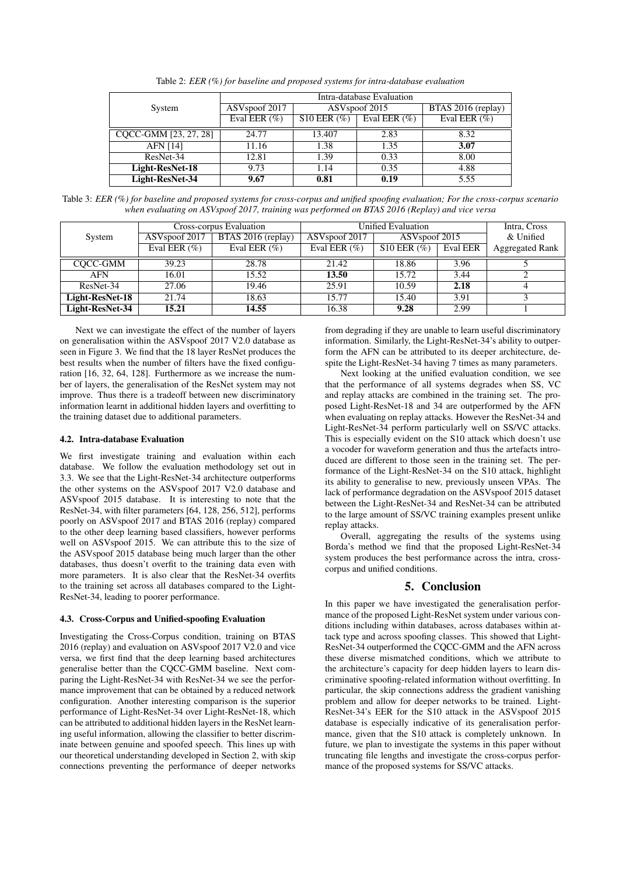|                       | Intra-database Evaluation                              |                   |                 |                    |  |
|-----------------------|--------------------------------------------------------|-------------------|-----------------|--------------------|--|
| System                | ASV <sub>spoof</sub> 2017<br>ASV <sub>spoof</sub> 2015 |                   |                 | BTAS 2016 (replay) |  |
|                       | Eval EER $(\%)$                                        | $S10$ EER $(\% )$ | Eval EER $(\%)$ | Eval EER $(\%)$    |  |
| CQCC-GMM [23, 27, 28] | 24.77                                                  | 13.407            | 2.83            | 8.32               |  |
| <b>AFN</b> [14]       | 11.16                                                  | 1.38              | 1.35            | 3.07               |  |
| ResNet-34             | 12.81                                                  | 1.39              | 0.33            | 8.00               |  |
| Light-ResNet-18       | 9.73                                                   | 1.14              | 0.35            | 4.88               |  |
| Light-ResNet-34       | 9.67                                                   | 0.81              | 0.19            | 5.55               |  |

Table 2: *EER (%) for baseline and proposed systems for intra-database evaluation*

Table 3: *EER (%) for baseline and proposed systems for cross-corpus and unified spoofing evaluation; For the cross-corpus scenario when evaluating on ASVspoof 2017, training was performed on BTAS 2016 (Replay) and vice versa*

|                 | Cross-corpus Evaluation   |                    | Unified Evaluation        |                           |                 | Intra, Cross           |
|-----------------|---------------------------|--------------------|---------------------------|---------------------------|-----------------|------------------------|
| System          | ASV <sub>spoof</sub> 2017 | BTAS 2016 (replay) | ASV <sub>spoof</sub> 2017 | ASV <sub>spoof</sub> 2015 |                 | & Unified              |
|                 | Eval EER $(\% )$          | Eval EER $(\% )$   | Eval EER $(\%)$           | $S10$ EER $(\%$ )         | <b>Eval EER</b> | <b>Aggregated Rank</b> |
| COCC-GMM        | 39.23                     | 28.78              | 21.42                     | 18.86                     | 3.96            |                        |
| <b>AFN</b>      | 16.01                     | 15.52              | 13.50                     | 15.72                     | 3.44            |                        |
| ResNet-34       | 27.06                     | 19.46              | 25.91                     | 10.59                     | 2.18            |                        |
| Light-ResNet-18 | 21.74                     | 18.63              | 15.77                     | 15.40                     | 3.91            |                        |
| Light-ResNet-34 | 15.21                     | 14.55              | 16.38                     | 9.28                      | 2.99            |                        |

Next we can investigate the effect of the number of layers on generalisation within the ASVspoof 2017 V2.0 database as seen in Figure 3. We find that the 18 layer ResNet produces the best results when the number of filters have the fixed configuration [16, 32, 64, 128]. Furthermore as we increase the number of layers, the generalisation of the ResNet system may not improve. Thus there is a tradeoff between new discriminatory information learnt in additional hidden layers and overfitting to the training dataset due to additional parameters.

#### 4.2. Intra-database Evaluation

We first investigate training and evaluation within each database. We follow the evaluation methodology set out in 3.3. We see that the Light-ResNet-34 architecture outperforms the other systems on the ASVspoof 2017 V2.0 database and ASVspoof 2015 database. It is interesting to note that the ResNet-34, with filter parameters [64, 128, 256, 512], performs poorly on ASVspoof 2017 and BTAS 2016 (replay) compared to the other deep learning based classifiers, however performs well on ASVspoof 2015. We can attribute this to the size of the ASVspoof 2015 database being much larger than the other databases, thus doesn't overfit to the training data even with more parameters. It is also clear that the ResNet-34 overfits to the training set across all databases compared to the Light-ResNet-34, leading to poorer performance.

#### 4.3. Cross-Corpus and Unified-spoofing Evaluation

Investigating the Cross-Corpus condition, training on BTAS 2016 (replay) and evaluation on ASVspoof 2017 V2.0 and vice versa, we first find that the deep learning based architectures generalise better than the CQCC-GMM baseline. Next comparing the Light-ResNet-34 with ResNet-34 we see the performance improvement that can be obtained by a reduced network configuration. Another interesting comparison is the superior performance of Light-ResNet-34 over Light-ResNet-18, which can be attributed to additional hidden layers in the ResNet learning useful information, allowing the classifier to better discriminate between genuine and spoofed speech. This lines up with our theoretical understanding developed in Section 2, with skip connections preventing the performance of deeper networks from degrading if they are unable to learn useful discriminatory information. Similarly, the Light-ResNet-34's ability to outperform the AFN can be attributed to its deeper architecture, despite the Light-ResNet-34 having 7 times as many parameters.

Next looking at the unified evaluation condition, we see that the performance of all systems degrades when SS, VC and replay attacks are combined in the training set. The proposed Light-ResNet-18 and 34 are outperformed by the AFN when evaluating on replay attacks. However the ResNet-34 and Light-ResNet-34 perform particularly well on SS/VC attacks. This is especially evident on the S10 attack which doesn't use a vocoder for waveform generation and thus the artefacts introduced are different to those seen in the training set. The performance of the Light-ResNet-34 on the S10 attack, highlight its ability to generalise to new, previously unseen VPAs. The lack of performance degradation on the ASVspoof 2015 dataset between the Light-ResNet-34 and ResNet-34 can be attributed to the large amount of SS/VC training examples present unlike replay attacks.

Overall, aggregating the results of the systems using Borda's method we find that the proposed Light-ResNet-34 system produces the best performance across the intra, crosscorpus and unified conditions.

## 5. Conclusion

In this paper we have investigated the generalisation performance of the proposed Light-ResNet system under various conditions including within databases, across databases within attack type and across spoofing classes. This showed that Light-ResNet-34 outperformed the CQCC-GMM and the AFN across these diverse mismatched conditions, which we attribute to the architecture's capacity for deep hidden layers to learn discriminative spoofing-related information without overfitting. In particular, the skip connections address the gradient vanishing problem and allow for deeper networks to be trained. Light-ResNet-34's EER for the S10 attack in the ASVspoof 2015 database is especially indicative of its generalisation performance, given that the S10 attack is completely unknown. In future, we plan to investigate the systems in this paper without truncating file lengths and investigate the cross-corpus performance of the proposed systems for SS/VC attacks.